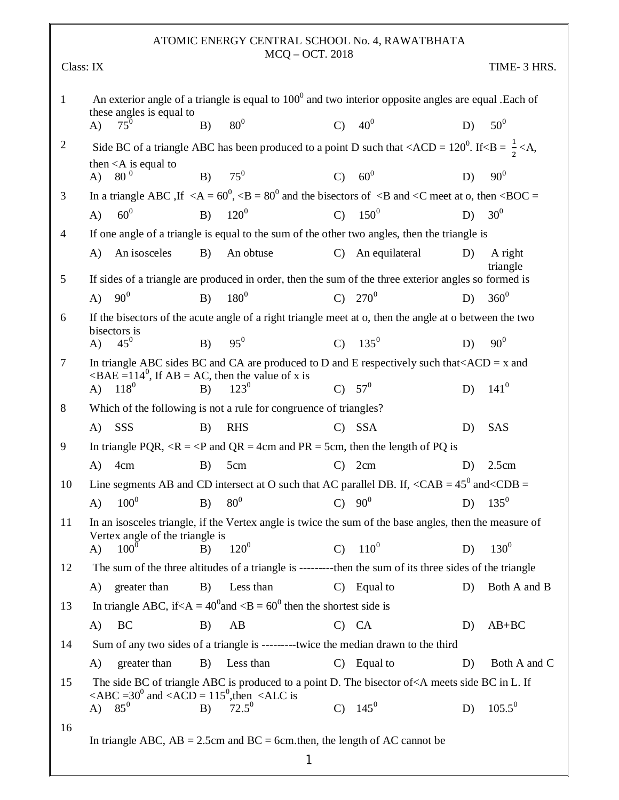## ATOMIC ENERGY CENTRAL SCHOOL No. 4, RAWATBHATA MCQ – OCT. 2018

|                | Class: IX                                                                     |                                                                                                                                                                                   |                      |    | TIME- 3 HRS.        |
|----------------|-------------------------------------------------------------------------------|-----------------------------------------------------------------------------------------------------------------------------------------------------------------------------------|----------------------|----|---------------------|
| $\mathbf{1}$   | these angles is equal to                                                      | An exterior angle of a triangle is equal to $1000$ and two interior opposite angles are equal . Each of                                                                           |                      |    |                     |
|                | $75^{0}$<br>B)<br>$\bf{A}$                                                    | 80 <sup>0</sup>                                                                                                                                                                   | $C)$ 40 <sup>0</sup> | D) | $50^0$              |
| $\overline{2}$ |                                                                               | Side BC of a triangle ABC has been produced to a point D such that <acd 120<sup="" =="">0. If <b <math="" =="">\frac{1}{2} <a,< td=""><td></td><td></td><td></td></a,<></b></acd> |                      |    |                     |
|                | then $\langle A \rangle$ is equal to<br>$80^{\,0}$<br>B)<br>$\bf{A}$          | $75^0$                                                                                                                                                                            | $C) 60^0$            | D) | $90^0$              |
| 3              |                                                                               | In a triangle ABC, If $\langle A = 60^0, \langle B = 80^0 \rangle$ and the bisectors of $\langle B \rangle$ and $\langle C \rangle$ meet at o, then $\langle BOC =$               |                      |    |                     |
|                | 60 <sup>0</sup><br>A)<br>B)                                                   | $120^{0}$<br>$\mathcal{C}$                                                                                                                                                        | $150^{0}$            | D) | 30 <sup>0</sup>     |
| 4              |                                                                               | If one angle of a triangle is equal to the sum of the other two angles, then the triangle is                                                                                      |                      |    |                     |
|                | An isosceles<br>B)<br>A)                                                      | An obtuse<br>$\mathcal{C}$                                                                                                                                                        | An equilateral       | D) | A right<br>triangle |
| 5              |                                                                               | If sides of a triangle are produced in order, then the sum of the three exterior angles so formed is                                                                              |                      |    |                     |
|                | 90 <sup>0</sup><br>B)<br>A)                                                   | $180^{0}$<br>$\mathbf{C}$                                                                                                                                                         | $270^{0}$            | D) | $360^{0}$           |
| 6              | bisectors is                                                                  | If the bisectors of the acute angle of a right triangle meet at o, then the angle at o between the two                                                                            |                      |    |                     |
|                | $45^0$<br>B)<br>$\bf{A}$                                                      | $95^{0}$<br>$\mathcal{C}$                                                                                                                                                         | $135^{0}$            | D) | $90^0$              |
| 7              |                                                                               | In triangle ABC sides BC and CA are produced to D and E respectively such that $ACD = x$ and                                                                                      |                      |    |                     |
|                | $\angle BAE = 114^0$ , If AB = AC, then the value of x is<br>A) $118^0$<br>B) | $123^{0}$                                                                                                                                                                         | C) $57^0$            | D) | $141^{0}$           |
| 8              |                                                                               | Which of the following is not a rule for congruence of triangles?                                                                                                                 |                      |    |                     |
|                | SSS<br>$\bf{A}$<br>B)                                                         | <b>RHS</b><br>$\mathcal{C}$                                                                                                                                                       | <b>SSA</b>           | D) | SAS                 |
| 9              |                                                                               | In triangle PQR, $\langle R = \langle P \rangle$ and QR = 4cm and PR = 5cm, then the length of PQ is                                                                              |                      |    |                     |
|                | A)<br>4cm<br>B)                                                               | 5cm<br>$\mathbf{C}$                                                                                                                                                               | 2cm                  | D) | 2.5cm               |
| 10             |                                                                               | Line segments AB and CD intersect at O such that AC parallel DB. If, $\langle CAB = 45^0 \text{ and } \langle CDB =$                                                              |                      |    |                     |
|                | $100^{0}$<br>A)<br>B)                                                         | 80 <sup>0</sup><br>$\mathbf{C}$                                                                                                                                                   | $90^0$               | D) | $135^{0}$           |
| 11             | Vertex angle of the triangle is                                               | In an isosceles triangle, if the Vertex angle is twice the sum of the base angles, then the measure of                                                                            |                      |    |                     |
|                | $100^{0}$<br>$\bf{A}$<br>B)                                                   | $120^{0}$<br>$\mathcal{C}$                                                                                                                                                        | $110^{0}$            | D) | $130^{0}$           |
| 12             |                                                                               | The sum of the three altitudes of a triangle is ---------then the sum of its three sides of the triangle                                                                          |                      |    |                     |
|                | greater than<br>B)<br>A)                                                      | Less than                                                                                                                                                                         | $C)$ Equal to        | D) | Both A and B        |
| 13             |                                                                               | In triangle ABC, if $\langle A = 40^{\circ}$ and $\langle B = 60^{\circ}$ then the shortest side is                                                                               |                      |    |                     |
|                | BC<br>A)<br>B)                                                                | AB                                                                                                                                                                                | $C)$ $CA$            | D) | $AB+BC$             |
| 14             |                                                                               | Sum of any two sides of a triangle is ---------twice the median drawn to the third                                                                                                |                      |    |                     |
|                | A)<br>greater than<br>B)                                                      | Less than<br>$\mathbf{C}$                                                                                                                                                         | Equal to             | D) | Both A and C        |
| 15             | $\angle ABC = 30^0$ and $\angle ACD = 115^0$ , then $\angle ALC$ is           | The side BC of triangle ABC is produced to a point D. The bisector of <a bc="" if<="" in="" l.="" meets="" side="" td=""><td></td><td></td><td></td></a>                          |                      |    |                     |
|                | $85^0$<br>A)<br>B)                                                            | $72.5^0$                                                                                                                                                                          | C) $145^0$           | D) | $105.5^{0}$         |
| 16             |                                                                               | In triangle ABC, $AB = 2.5$ cm and BC = 6cm.then, the length of AC cannot be                                                                                                      |                      |    |                     |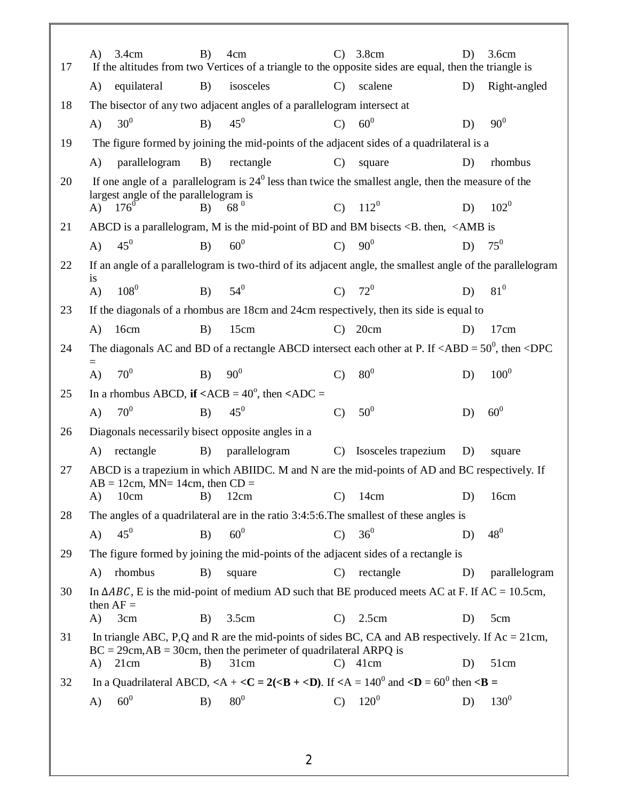| 17 | 3.4cm<br>A)                                                           | B) | 4cm                                                                     | $\mathcal{C}$ | 3.8cm<br>If the altitudes from two Vertices of a triangle to the opposite sides are equal, then the triangle is                                                                                | D) | 3.6cm         |
|----|-----------------------------------------------------------------------|----|-------------------------------------------------------------------------|---------------|------------------------------------------------------------------------------------------------------------------------------------------------------------------------------------------------|----|---------------|
|    | equilateral<br>A)                                                     | B) | isosceles                                                               | $\mathcal{C}$ | scalene                                                                                                                                                                                        | D) | Right-angled  |
| 18 |                                                                       |    | The bisector of any two adjacent angles of a parallelogram intersect at |               |                                                                                                                                                                                                |    |               |
|    | 30 <sup>0</sup><br>$\bf{A}$ )                                         | B) | $45^0$                                                                  | $\mathcal{C}$ | 60 <sup>0</sup>                                                                                                                                                                                | D) | $90^0$        |
| 19 |                                                                       |    |                                                                         |               | The figure formed by joining the mid-points of the adjacent sides of a quadrilateral is a                                                                                                      |    |               |
|    | parallelogram<br>A)                                                   | B) | rectangle                                                               | $\mathcal{C}$ | square                                                                                                                                                                                         | D) | rhombus       |
| 20 |                                                                       |    |                                                                         |               | If one angle of a parallelogram is $24^{\circ}$ less than twice the smallest angle, then the measure of the                                                                                    |    |               |
|    | largest angle of the parallelogram is<br>$176^{0}$<br>A)              | B) | 68 <sup>0</sup>                                                         | $\mathbf{C}$  | $112^{0}$                                                                                                                                                                                      | D) | $102^{0}$     |
| 21 |                                                                       |    |                                                                         |               | ABCD is a parallelogram, M is the mid-point of BD and BM bisects <b. <amb="" is<="" td="" then,=""><td></td><td></td></b.>                                                                     |    |               |
|    | $45^0$<br>$\bf{A}$ )                                                  | B) | 60 <sup>0</sup>                                                         | $\mathcal{C}$ | 90 <sup>0</sup>                                                                                                                                                                                | D) | $75^0$        |
| 22 |                                                                       |    |                                                                         |               | If an angle of a parallelogram is two-third of its adjacent angle, the smallest angle of the parallelogram                                                                                     |    |               |
|    | is<br>$108^{0}$<br>$\bf{A}$                                           | B) | $54^{0}$                                                                |               | $C) 72^0$                                                                                                                                                                                      | D) | $81^0$        |
| 23 |                                                                       |    |                                                                         |               | If the diagonals of a rhombus are 18cm and 24cm respectively, then its side is equal to                                                                                                        |    |               |
|    | A)<br>16cm                                                            | B) | 15cm                                                                    | $\mathbf{C}$  | 20cm                                                                                                                                                                                           | D) | 17cm          |
| 24 |                                                                       |    |                                                                         |               | The diagonals AC and BD of a rectangle ABCD intersect each other at P. If $\langle ABD = 50^0$ , then $\langle DPC \rangle$                                                                    |    |               |
|    | $=$<br>70 <sup>0</sup><br>A)                                          | B) | $90^{0}$                                                                | $\mathcal{C}$ | 80 <sup>0</sup>                                                                                                                                                                                | D) | $100^{0}$     |
| 25 | In a rhombus ABCD, if $\langle ACB = 40^\circ$ , then $\langle ADC =$ |    |                                                                         |               |                                                                                                                                                                                                |    |               |
|    | $70^0$<br>$\bf{A}$                                                    | B) | $45^0$                                                                  | $\mathcal{C}$ | 50 <sup>0</sup>                                                                                                                                                                                | D) | $60^0$        |
| 26 | Diagonals necessarily bisect opposite angles in a                     |    |                                                                         |               |                                                                                                                                                                                                |    |               |
|    | rectangle<br>A)                                                       | B) | parallelogram                                                           | $\mathcal{C}$ | Isosceles trapezium                                                                                                                                                                            | D) | square        |
| 27 |                                                                       |    |                                                                         |               | ABCD is a trapezium in which ABIIDC. M and N are the mid-points of AD and BC respectively. If                                                                                                  |    |               |
|    | $AB = 12$ cm, MN= 14cm, then CD =<br>A)<br>10cm                       | B) | 12cm                                                                    | $\mathcal{C}$ | 14cm                                                                                                                                                                                           | D) | 16cm          |
| 28 |                                                                       |    |                                                                         |               | The angles of a quadrilateral are in the ratio $3:4:5:6$ . The smallest of these angles is                                                                                                     |    |               |
|    | $45^0$<br>A)                                                          | B) | 60 <sup>0</sup>                                                         | $\mathcal{C}$ | 36 <sup>0</sup>                                                                                                                                                                                | D) | $48^{0}$      |
| 29 |                                                                       |    |                                                                         |               | The figure formed by joining the mid-points of the adjacent sides of a rectangle is                                                                                                            |    |               |
|    | rhombus<br>A)                                                         | B) | square                                                                  | $\mathcal{C}$ | rectangle                                                                                                                                                                                      | D) | parallelogram |
| 30 |                                                                       |    |                                                                         |               | In $\triangle ABC$ , E is the mid-point of medium AD such that BE produced meets AC at F. If AC = 10.5cm,                                                                                      |    |               |
|    | then $AF =$<br>3cm<br>A)                                              | B) | 3.5cm                                                                   | $\mathbf{C}$  | 2.5cm                                                                                                                                                                                          | D) | 5cm           |
| 31 |                                                                       |    |                                                                         |               | In triangle ABC, P,Q and R are the mid-points of sides BC, CA and AB respectively. If $Ac = 21cm$ ,                                                                                            |    |               |
|    |                                                                       |    | $BC = 29cm, AB = 30cm$ , then the perimeter of quadrilateral ARPQ is    |               |                                                                                                                                                                                                |    |               |
|    | 21cm<br>A)                                                            | B) | 31cm                                                                    | $\mathbf{C}$  | 41cm                                                                                                                                                                                           | D) | 51cm          |
| 32 |                                                                       |    |                                                                         |               | In a Quadrilateral ABCD, $\langle A + \langle C = 2(\langle B + \langle D \rangle) \rangle$ . If $\langle A = 140^{\circ}$ and $\langle D = 60^{\circ}$ then $\langle B = 140^{\circ} \rangle$ |    |               |
|    | 60 <sup>0</sup><br>A)                                                 | B) | 80 <sup>0</sup>                                                         | $\mathcal{C}$ | $120^{0}$                                                                                                                                                                                      | D) | $130^{0}$     |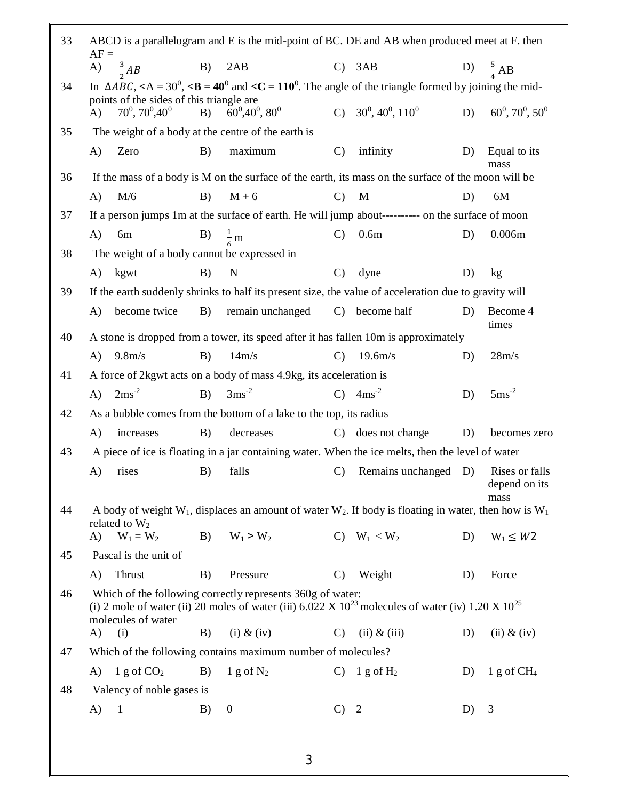| 33 | $AF =$                                                                       |    |                                                                    |               | ABCD is a parallelogram and E is the mid-point of BC. DE and AB when produced meet at F. then                                                            |    |                                 |
|----|------------------------------------------------------------------------------|----|--------------------------------------------------------------------|---------------|----------------------------------------------------------------------------------------------------------------------------------------------------------|----|---------------------------------|
|    | $\frac{3}{2}AB$<br>A)                                                        | B) | 2AB                                                                |               | $C)$ 3AB                                                                                                                                                 |    | D) $\frac{5}{4}$ AB             |
| 34 |                                                                              |    |                                                                    |               | In $\triangle ABC$ , <a 30<sup="" =="">0, <b 40<sup="" =="">0 and <c 110<sup="" =="">0. The angle of the triangle formed by joining the mid-</c></b></a> |    |                                 |
|    | points of the sides of this triangle are<br>$70^0, 70^0, 40^0$<br>$\bf{A}$ ) | B) | $60^0,40^0,80^0$                                                   |               | C) $30^0, 40^0, 110^0$                                                                                                                                   | D) | $60^0, 70^0, 50^0$              |
| 35 | The weight of a body at the centre of the earth is                           |    |                                                                    |               |                                                                                                                                                          |    |                                 |
|    | A)<br>Zero                                                                   | B) | maximum                                                            | $\mathcal{C}$ | infinity                                                                                                                                                 | D) | Equal to its<br>mass            |
| 36 |                                                                              |    |                                                                    |               | If the mass of a body is M on the surface of the earth, its mass on the surface of the moon will be                                                      |    |                                 |
|    | M/6<br>A)                                                                    | B) | $M + 6$                                                            | $\mathcal{C}$ | M                                                                                                                                                        | D) | 6M                              |
| 37 |                                                                              |    |                                                                    |               | If a person jumps 1m at the surface of earth. He will jump about---------- on the surface of moon                                                        |    |                                 |
|    | A)<br>6m                                                                     | B) | $\frac{1}{2}$ m                                                    | $\mathcal{C}$ | 0.6 <sub>m</sub>                                                                                                                                         | D) | 0.006m                          |
| 38 | The weight of a body cannot be expressed in                                  |    |                                                                    |               |                                                                                                                                                          |    |                                 |
|    | A)<br>kgwt                                                                   | B) | $\mathbf N$                                                        | $\mathcal{C}$ | dyne                                                                                                                                                     | D) | kg                              |
| 39 |                                                                              |    |                                                                    |               | If the earth suddenly shrinks to half its present size, the value of acceleration due to gravity will                                                    |    |                                 |
|    | A)<br>become twice                                                           | B) | remain unchanged                                                   | $\mathbf{C}$  | become half                                                                                                                                              | D) | Become 4                        |
| 40 |                                                                              |    |                                                                    |               | A stone is dropped from a tower, its speed after it has fallen 10m is approximately                                                                      |    | times                           |
|    | 9.8 <sub>m/s</sub><br>A)                                                     | B) | 14m/s                                                              | $\mathbf{C}$  | 19.6m/s                                                                                                                                                  | D) | 28m/s                           |
| 41 |                                                                              |    | A force of 2kgwt acts on a body of mass 4.9kg, its acceleration is |               |                                                                                                                                                          |    |                                 |
|    | $2ms^{-2}$<br>$\bf{A}$                                                       | B) | $3ms^{-2}$                                                         | $\mathcal{C}$ | $4ms^{-2}$                                                                                                                                               | D) | $5 \mathrm{ms}^{\text{-}2}$     |
| 42 |                                                                              |    | As a bubble comes from the bottom of a lake to the top, its radius |               |                                                                                                                                                          |    |                                 |
|    | A)<br>increases                                                              | B) | decreases                                                          | $\mathcal{C}$ | does not change                                                                                                                                          | D) | becomes zero                    |
| 43 |                                                                              |    |                                                                    |               | A piece of ice is floating in a jar containing water. When the ice melts, then the level of water                                                        |    |                                 |
|    | A)<br>rises                                                                  | B) | falls                                                              | $\mathcal{C}$ | Remains unchanged D)                                                                                                                                     |    | Rises or falls<br>depend on its |
| 44 |                                                                              |    |                                                                    |               | A body of weight $W_1$ , displaces an amount of water $W_2$ . If body is floating in water, then how is $W_1$ .                                          |    | mass                            |
|    | related to $W_2$                                                             |    |                                                                    |               |                                                                                                                                                          |    |                                 |
|    | $W_1 = W_2$<br>A)                                                            | B) | $W_1 > W_2$                                                        |               | C) $W_1 < W_2$                                                                                                                                           | D) | $W_1 \leq W_2$                  |
| 45 | Pascal is the unit of                                                        |    |                                                                    |               |                                                                                                                                                          |    |                                 |
|    | Thrust<br>A)                                                                 | B) | Pressure                                                           | $\mathcal{C}$ | Weight                                                                                                                                                   | D) | Force                           |
| 46 | molecules of water                                                           |    | Which of the following correctly represents 360g of water:         |               | (i) 2 mole of water (ii) 20 moles of water (iii) 6.022 X $10^{23}$ molecules of water (iv) 1.20 X $10^{25}$                                              |    |                                 |
|    | A)<br>(i)                                                                    | B) | $(i)$ & $(iv)$                                                     | $\mathbf{C}$  | $(ii)$ & $(iii)$                                                                                                                                         | D) | $(ii)$ & $(iv)$                 |
| 47 |                                                                              |    | Which of the following contains maximum number of molecules?       |               |                                                                                                                                                          |    |                                 |
|    | 1 g of $CO2$<br>A)                                                           | B) | 1 g of $N_2$                                                       | $\mathcal{C}$ | 1 g of $H_2$                                                                                                                                             | D) | $1 g$ of $CH4$                  |
| 48 | Valency of noble gases is                                                    |    |                                                                    |               |                                                                                                                                                          |    |                                 |
|    | A)<br>1                                                                      | B) | $\overline{0}$                                                     | $\mathcal{C}$ | $\overline{2}$                                                                                                                                           | D) | 3                               |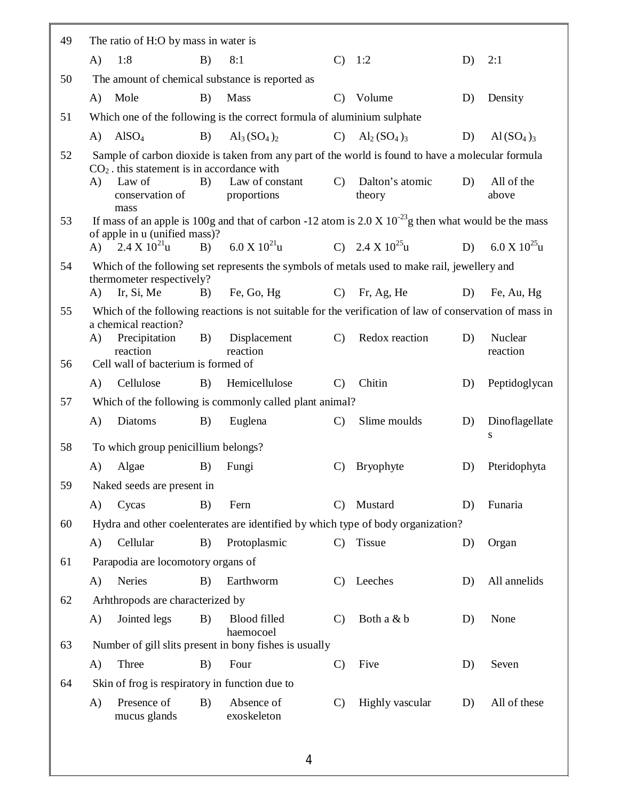| 49 | The ratio of H:O by mass in water is                                  |    |                                                                                                                |               |                              |    |                     |
|----|-----------------------------------------------------------------------|----|----------------------------------------------------------------------------------------------------------------|---------------|------------------------------|----|---------------------|
|    | 1:8<br>A)                                                             | B) | 8:1                                                                                                            |               | C) 1:2                       | D) | 2:1                 |
| 50 | The amount of chemical substance is reported as                       |    |                                                                                                                |               |                              |    |                     |
|    | $\bf{A}$ )<br>Mole                                                    | B) | Mass                                                                                                           | $\mathbf{C}$  | Volume                       | D) | Density             |
| 51 |                                                                       |    | Which one of the following is the correct formula of aluminium sulphate                                        |               |                              |    |                     |
|    | AISO <sub>4</sub><br>A)                                               | B) | $Al_3(SO_4)_2$                                                                                                 | $\mathbf{C}$  | $Al_2(SO_4)_3$               | D) | $\text{Al}(SO_4)_3$ |
| 52 | $CO2$ . this statement is in accordance with                          |    | Sample of carbon dioxide is taken from any part of the world is found to have a molecular formula              |               |                              |    |                     |
|    | Law of<br>A)<br>conservation of<br>mass                               | B) | Law of constant<br>proportions                                                                                 |               | C) Dalton's atomic<br>theory | D) | All of the<br>above |
| 53 |                                                                       |    | If mass of an apple is 100g and that of carbon -12 atom is $2.0 \times 10^{-23}$ g then what would be the mass |               |                              |    |                     |
|    | of apple in u (unified mass)?<br>A) $2.4 \text{ X } 10^{21} \text{u}$ |    | B) $6.0 \text{ X } 10^{21} \text{u}$ C) $2.4 \text{ X } 10^{25} \text{u}$                                      |               |                              | D) | 6.0 X $10^{25}$ u   |
| 54 |                                                                       |    | Which of the following set represents the symbols of metals used to make rail, jewellery and                   |               |                              |    |                     |
|    | thermometer respectively?                                             |    |                                                                                                                |               |                              |    |                     |
|    | Ir, Si, Me<br>A)                                                      | B) | Fe, Go, Hg                                                                                                     |               | $C)$ Fr, Ag, He              | D) | Fe, Au, Hg          |
| 55 | a chemical reaction?                                                  |    | Which of the following reactions is not suitable for the verification of law of conservation of mass in        |               |                              |    |                     |
|    | A)<br>Precipitation<br>reaction                                       | B) | Displacement<br>reaction                                                                                       | $\mathcal{C}$ | Redox reaction               | D) | Nuclear<br>reaction |
| 56 | Cell wall of bacterium is formed of                                   |    |                                                                                                                |               |                              |    |                     |
|    | $\bf{A}$<br>Cellulose                                                 | B) | Hemicellulose                                                                                                  | $\mathbf{C}$  | Chitin                       | D) | Peptidoglycan       |
| 57 |                                                                       |    | Which of the following is commonly called plant animal?                                                        |               |                              |    |                     |
|    | $\mathbf{A}$<br>Diatoms                                               | B) | Euglena                                                                                                        | $\mathcal{C}$ | Slime moulds                 | D) | Dinoflagellate      |
| 58 | To which group penicillium belongs?                                   |    |                                                                                                                |               |                              |    | S                   |
|    | Algae<br>A)                                                           | B) | Fungi                                                                                                          | $\mathbf{C}$  | <b>Bryophyte</b>             | D) | Pteridophyta        |
| 59 | Naked seeds are present in                                            |    |                                                                                                                |               |                              |    |                     |
|    | Cycas<br>A)                                                           | B) | Fern                                                                                                           | $\mathbf{C}$  | Mustard                      | D) | Funaria             |
| 60 |                                                                       |    | Hydra and other coelenterates are identified by which type of body organization?                               |               |                              |    |                     |
|    | Cellular<br>A)                                                        | B) | Protoplasmic                                                                                                   | $\mathcal{C}$ | Tissue                       | D) | Organ               |
| 61 | Parapodia are locomotory organs of                                    |    |                                                                                                                |               |                              |    |                     |
|    | Neries<br>A)                                                          | B) | Earthworm                                                                                                      | $\mathbf{C}$  | Leeches                      | D) | All annelids        |
| 62 | Arhthropods are characterized by                                      |    |                                                                                                                |               |                              |    |                     |
|    | Jointed legs<br>A)                                                    | B) | Blood filled                                                                                                   | $\mathcal{C}$ | Both a & b                   | D) | None                |
| 63 |                                                                       |    | haemocoel<br>Number of gill slits present in bony fishes is usually                                            |               |                              |    |                     |
|    | Three<br>A)                                                           | B) | Four                                                                                                           | $\mathcal{C}$ | Five                         | D) | Seven               |
| 64 | Skin of frog is respiratory in function due to                        |    |                                                                                                                |               |                              |    |                     |
|    | Presence of<br>A)<br>mucus glands                                     | B) | Absence of<br>exoskeleton                                                                                      | $\mathcal{C}$ | Highly vascular              | D) | All of these        |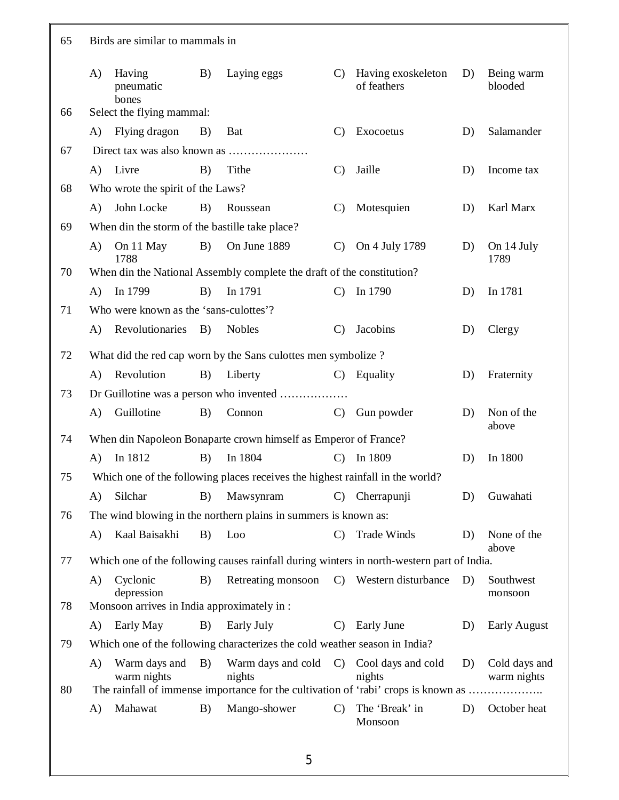| 65 | Birds are similar to mammals in |                                             |    |                                                                                           |               |                                   |    |                              |  |  |
|----|---------------------------------|---------------------------------------------|----|-------------------------------------------------------------------------------------------|---------------|-----------------------------------|----|------------------------------|--|--|
|    | A)                              | Having<br>pneumatic<br>bones                | B) | Laying eggs                                                                               | $\mathbf{C}$  | Having exoskeleton<br>of feathers | D) | Being warm<br>blooded        |  |  |
| 66 |                                 | Select the flying mammal:                   |    |                                                                                           |               |                                   |    |                              |  |  |
|    | A)                              | Flying dragon                               | B) | Bat                                                                                       | $\mathcal{C}$ | Exocoetus                         | D) | Salamander                   |  |  |
| 67 |                                 |                                             |    |                                                                                           |               |                                   |    |                              |  |  |
|    | $\bf{A}$                        | Livre                                       | B) | Tithe                                                                                     | $\mathcal{C}$ | Jaille                            | D) | Income tax                   |  |  |
| 68 |                                 | Who wrote the spirit of the Laws?           |    |                                                                                           |               |                                   |    |                              |  |  |
|    | $\bf{A}$                        | John Locke                                  | B) | Roussean                                                                                  | $\mathbf{C}$  | Motesquien                        | D) | Karl Marx                    |  |  |
| 69 |                                 |                                             |    | When din the storm of the bastille take place?                                            |               |                                   |    |                              |  |  |
|    | A)                              | On 11 May<br>1788                           | B) | On June 1889                                                                              | $\mathcal{C}$ | On 4 July 1789                    | D) | On 14 July<br>1789           |  |  |
| 70 |                                 |                                             |    | When din the National Assembly complete the draft of the constitution?                    |               |                                   |    |                              |  |  |
|    | A)                              | In 1799                                     | B) | In 1791                                                                                   | $\mathbf{C}$  | In 1790                           | D) | In 1781                      |  |  |
| 71 |                                 | Who were known as the 'sans-culottes'?      |    |                                                                                           |               |                                   |    |                              |  |  |
|    | $\bf{A}$                        | Revolutionaries                             | B) | <b>Nobles</b>                                                                             | $\mathbf{C}$  | Jacobins                          | D) | Clergy                       |  |  |
| 72 |                                 |                                             |    | What did the red cap worn by the Sans culottes men symbolize?                             |               |                                   |    |                              |  |  |
|    | A)                              | Revolution                                  | B) | Liberty                                                                                   | $\mathcal{C}$ | Equality                          | D) | Fraternity                   |  |  |
| 73 |                                 |                                             |    | Dr Guillotine was a person who invented                                                   |               |                                   |    |                              |  |  |
|    | A)                              | Guillotine                                  | B) | Connon                                                                                    | $\mathbf{C}$  | Gun powder                        | D) | Non of the<br>above          |  |  |
| 74 |                                 |                                             |    | When din Napoleon Bonaparte crown himself as Emperor of France?                           |               |                                   |    |                              |  |  |
|    | $\bf{A}$                        | In 1812                                     | B) | In 1804                                                                                   | $\mathbf{C}$  | In 1809                           | D) | In 1800                      |  |  |
| 75 |                                 |                                             |    | Which one of the following places receives the highest rainfall in the world?             |               |                                   |    |                              |  |  |
|    | A)                              | Silchar                                     | B) | Mawsynram                                                                                 |               | C) Cherrapunji                    | D) | Guwahati                     |  |  |
| 76 |                                 |                                             |    | The wind blowing in the northern plains in summers is known as:                           |               |                                   |    |                              |  |  |
|    | A)                              | Kaal Baisakhi                               | B) | Loo                                                                                       | $\mathbf{C}$  | Trade Winds                       | D) | None of the<br>above         |  |  |
| 77 |                                 |                                             |    | Which one of the following causes rainfall during winters in north-western part of India. |               |                                   |    |                              |  |  |
|    | A)                              | Cyclonic<br>depression                      | B) | Retreating monsoon                                                                        | $\mathbf{C}$  | Western disturbance               | D) | Southwest<br>monsoon         |  |  |
| 78 |                                 | Monsoon arrives in India approximately in : |    |                                                                                           |               |                                   |    |                              |  |  |
|    | A)                              | Early May                                   | B) | Early July                                                                                | $\mathcal{C}$ | <b>Early June</b>                 | D) | <b>Early August</b>          |  |  |
| 79 |                                 |                                             |    | Which one of the following characterizes the cold weather season in India?                |               |                                   |    |                              |  |  |
|    | A)                              | Warm days and<br>warm nights                | B) | Warm days and cold<br>nights                                                              | $\mathcal{C}$ | Cool days and cold<br>nights      | D) | Cold days and<br>warm nights |  |  |
| 80 |                                 |                                             |    | The rainfall of immense importance for the cultivation of 'rabi' crops is known as        |               |                                   |    |                              |  |  |
|    | A)                              | Mahawat                                     | B) | Mango-shower                                                                              | $\mathcal{C}$ | The 'Break' in<br>Monsoon         | D) | October heat                 |  |  |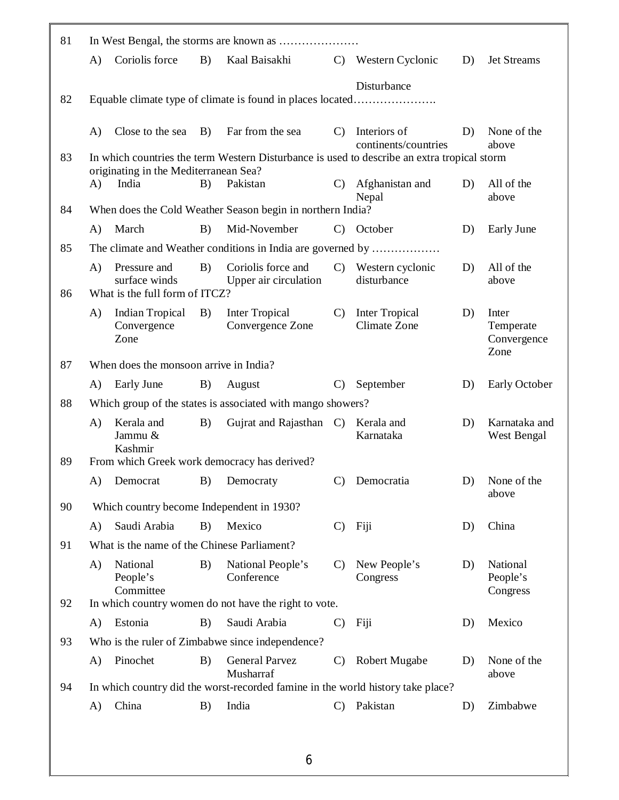| 81 |          |                                                 |            |                                                                                             |               |                          |    |                                  |
|----|----------|-------------------------------------------------|------------|---------------------------------------------------------------------------------------------|---------------|--------------------------|----|----------------------------------|
|    | A)       | Coriolis force                                  | B)         | Kaal Baisakhi                                                                               |               | C) Western Cyclonic      | D) | Jet Streams                      |
|    |          |                                                 |            |                                                                                             |               | Disturbance              |    |                                  |
| 82 |          |                                                 |            | Equable climate type of climate is found in places located                                  |               |                          |    |                                  |
|    | $\bf{A}$ | Close to the sea                                | <b>B</b> ) | Far from the sea                                                                            | $\mathcal{C}$ | Interiors of             | D) | None of the                      |
| 83 |          |                                                 |            | In which countries the term Western Disturbance is used to describe an extra tropical storm |               | continents/countries     |    | above                            |
|    |          | originating in the Mediterranean Sea?           |            |                                                                                             |               |                          |    |                                  |
|    | A)       | India                                           | B)         | Pakistan                                                                                    | $\mathbf{C}$  | Afghanistan and<br>Nepal | D) | All of the<br>above              |
| 84 |          |                                                 |            | When does the Cold Weather Season begin in northern India?                                  |               |                          |    |                                  |
|    | A)       | March                                           | B)         | Mid-November                                                                                |               | C) October               | D) | Early June                       |
| 85 |          |                                                 |            | The climate and Weather conditions in India are governed by                                 |               |                          |    |                                  |
|    | A)       | Pressure and                                    | B)         | Coriolis force and                                                                          | $\mathcal{C}$ | Western cyclonic         | D) | All of the                       |
| 86 |          | surface winds<br>What is the full form of ITCZ? |            | Upper air circulation                                                                       |               | disturbance              |    | above                            |
|    | A)       | Indian Tropical                                 | B)         | <b>Inter Tropical</b>                                                                       | $\mathcal{C}$ | <b>Inter Tropical</b>    | D) | Inter                            |
|    |          | Convergence<br>Zone                             |            | Convergence Zone                                                                            |               | Climate Zone             |    | Temperate<br>Convergence<br>Zone |
| 87 |          | When does the monsoon arrive in India?          |            |                                                                                             |               |                          |    |                                  |
|    | A)       | Early June                                      | B)         | August                                                                                      | $\mathcal{C}$ | September                | D) | Early October                    |
| 88 |          |                                                 |            | Which group of the states is associated with mango showers?                                 |               |                          |    |                                  |
|    | A)       | Kerala and<br>Jammu &<br>Kashmir                | B)         | Gujrat and Rajasthan C)                                                                     |               | Kerala and<br>Karnataka  | D) | Karnataka and<br>West Bengal     |
| 89 |          |                                                 |            | From which Greek work democracy has derived?                                                |               |                          |    |                                  |
|    |          | A) Democrat B) Democraty                        |            |                                                                                             |               | C) Democratia            |    | D) None of the                   |
| 90 |          | Which country become Independent in 1930?       |            |                                                                                             |               |                          |    | above                            |
|    | A)       | Saudi Arabia                                    | B)         | Mexico                                                                                      | $\mathcal{C}$ | Fiji                     | D) | China                            |
| 91 |          | What is the name of the Chinese Parliament?     |            |                                                                                             |               |                          |    |                                  |
|    | A)       | National<br>People's<br>Committee               | B)         | National People's<br>Conference                                                             | $\mathcal{C}$ | New People's<br>Congress | D) | National<br>People's<br>Congress |
| 92 |          |                                                 |            | In which country women do not have the right to vote.                                       |               |                          |    |                                  |
|    | A)       | Estonia                                         | B)         | Saudi Arabia                                                                                | $\mathbf{C}$  | Fiji                     | D) | Mexico                           |
|    |          |                                                 |            |                                                                                             |               |                          |    |                                  |
| 93 |          |                                                 |            | Who is the ruler of Zimbabwe since independence?                                            |               |                          |    |                                  |
|    | A)       | Pinochet                                        | B)         | <b>General Parvez</b><br>Musharraf                                                          | $\mathbf{C}$  | <b>Robert Mugabe</b>     | D) | None of the<br>above             |
| 94 |          |                                                 |            | In which country did the worst-recorded famine in the world history take place?             |               |                          |    |                                  |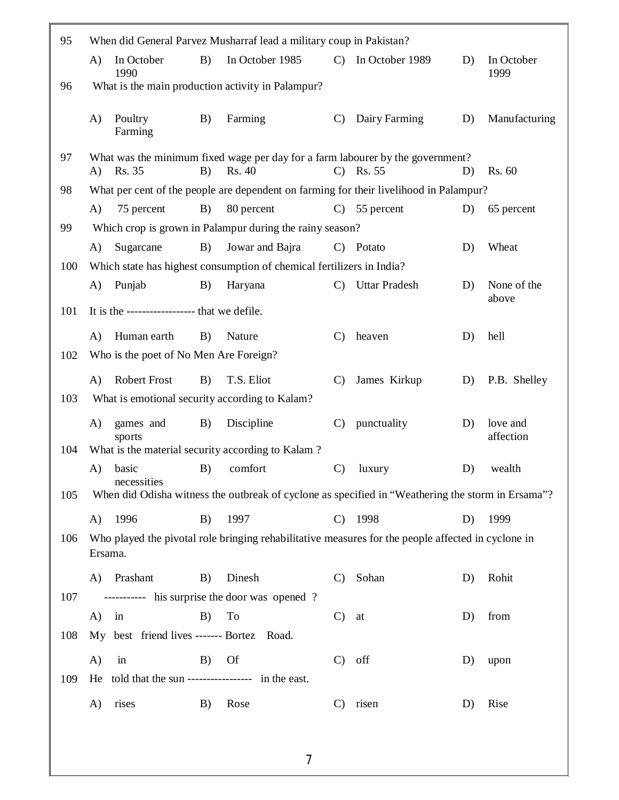| 95  |              |                                               |    | When did General Parvez Musharraf lead a military coup in Pakistan?   |               |                                                                                                    |    |                       |
|-----|--------------|-----------------------------------------------|----|-----------------------------------------------------------------------|---------------|----------------------------------------------------------------------------------------------------|----|-----------------------|
|     | $\mathbf{A}$ | In October                                    | B) | In October 1985                                                       |               | C) In October 1989                                                                                 | D) | In October            |
| 96  |              | 1990                                          |    | What is the main production activity in Palampur?                     |               |                                                                                                    |    | 1999                  |
|     |              |                                               |    |                                                                       |               |                                                                                                    |    |                       |
|     | $\bf{A}$     | Poultry<br>Farming                            | B) | Farming                                                               | $\mathcal{C}$ | Dairy Farming                                                                                      | D) | Manufacturing         |
| 97  | A)           | Rs. 35                                        | B) | Rs. 40                                                                | $\mathcal{C}$ | What was the minimum fixed wage per day for a farm labourer by the government?<br>Rs. 55           | D) | Rs. 60                |
| 98  |              |                                               |    |                                                                       |               | What per cent of the people are dependent on farming for their livelihood in Palampur?             |    |                       |
|     | A)           | 75 percent                                    | B) | 80 percent                                                            | $\mathcal{C}$ | 55 percent                                                                                         | D) | 65 percent            |
| 99  |              |                                               |    | Which crop is grown in Palampur during the rainy season?              |               |                                                                                                    |    |                       |
|     | $\bf{A}$     | Sugarcane                                     | B) | Jowar and Bajra                                                       |               | C) Potato                                                                                          | D) | Wheat                 |
| 100 |              |                                               |    | Which state has highest consumption of chemical fertilizers in India? |               |                                                                                                    |    |                       |
|     | A)           | Punjab                                        | B) | Haryana                                                               | $\mathcal{C}$ | <b>Uttar Pradesh</b>                                                                               | D) | None of the           |
| 101 |              | It is the ------------------- that we defile. |    |                                                                       |               |                                                                                                    |    | above                 |
|     | A)           | Human earth                                   | B) | Nature                                                                | $\mathcal{C}$ | heaven                                                                                             | D) | hell                  |
| 102 |              | Who is the poet of No Men Are Foreign?        |    |                                                                       |               |                                                                                                    |    |                       |
|     | $\bf{A}$     | <b>Robert Frost</b>                           | B) | T.S. Eliot                                                            | $\mathcal{C}$ | James Kirkup                                                                                       | D) | P.B. Shelley          |
| 103 |              |                                               |    | What is emotional security according to Kalam?                        |               |                                                                                                    |    |                       |
|     | A)           | games and<br>sports                           | B) | Discipline                                                            | $\mathbf{C}$  | punctuality                                                                                        | D) | love and<br>affection |
| 104 |              |                                               |    | What is the material security according to Kalam?                     |               |                                                                                                    |    |                       |
|     | A)           | basic<br>necessities                          | B) | comfort                                                               | $\mathcal{C}$ | luxury                                                                                             | D) | wealth                |
| 105 |              |                                               |    |                                                                       |               | When did Odisha witness the outbreak of cyclone as specified in "Weathering the storm in Ersama"?  |    |                       |
|     | A)           | 1996                                          | B) | 1997                                                                  | $\mathbf{C}$  | 1998                                                                                               | D) | 1999                  |
| 106 | Ersama.      |                                               |    |                                                                       |               | Who played the pivotal role bringing rehabilitative measures for the people affected in cyclone in |    |                       |
|     | A)           | Prashant                                      | B) | Dinesh                                                                | $\mathbf{C}$  | Sohan                                                                                              | D) | Rohit                 |
| 107 |              |                                               |    | ---------- his surprise the door was opened?                          |               |                                                                                                    |    |                       |
|     | A)           | in                                            | B) | To                                                                    | $\mathcal{C}$ | at                                                                                                 | D) | from                  |
| 108 |              | My best friend lives ------- Bortez Road.     |    |                                                                       |               |                                                                                                    |    |                       |
|     | A)           | in                                            | B) | <b>Of</b>                                                             | $\mathcal{C}$ | off                                                                                                | D) | upon                  |
| 109 | He           |                                               |    | told that the sun ---------------- in the east.                       |               |                                                                                                    |    |                       |
|     | A)           | rises                                         | B) | Rose                                                                  | $\mathcal{C}$ | risen                                                                                              | D) | Rise                  |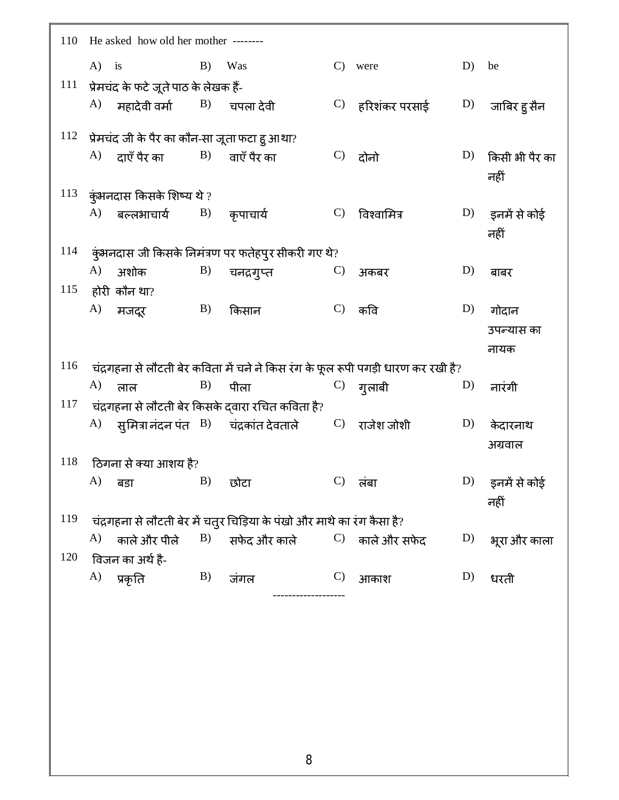| 110 | He asked how old her mother ------- |                                                            |            |                                                                              |               |                                                                                   |    |                            |  |  |
|-----|-------------------------------------|------------------------------------------------------------|------------|------------------------------------------------------------------------------|---------------|-----------------------------------------------------------------------------------|----|----------------------------|--|--|
|     | $A)$ is                             | B)                                                         |            | Was                                                                          | $\mathcal{C}$ | were                                                                              | D) | be                         |  |  |
| 111 |                                     | प्रेमचंद के फटे जूते पाठ के लेखक हैं-                      |            |                                                                              |               |                                                                                   |    |                            |  |  |
|     | A)                                  | महादेवी वर्मा $\qquad \quad \mathrm{B)}\quad \,$ चपला देवी |            |                                                                              |               | $\rm C)$ हरिशंकर परसाई                                                            | D) | जाबिर हु सैन               |  |  |
| 112 |                                     | प्रेमचंद जी के पैर का कौन-सा जूता फटा हु आथा?              |            |                                                                              |               |                                                                                   |    |                            |  |  |
|     |                                     | $\rm{A)}$ दाएँ पैर का                                      |            | $\ket{\text{B}}$ वाएँ पैर का                                                 | $\mathbf{C}$  | दोनो                                                                              | D) | किसी भी पैर का<br>नहीं     |  |  |
|     |                                     | $113$ कुंभनदास किसके शिष्य थे ?                            |            |                                                                              |               |                                                                                   |    |                            |  |  |
|     |                                     | A) बल्लभाचार्य $B$ ) कृपाचार्य                             |            |                                                                              | $\mathcal{C}$ | विश्वामित्र                                                                       | D) | इनमें से कोई<br>नहीं       |  |  |
| 114 |                                     |                                                            |            | कुंभनदास जी किसके निमंत्रण पर फतेहपुर सीकरी गए थे?                           |               |                                                                                   |    |                            |  |  |
|     | A)                                  | अशोक                                                       | B)         | चनद्रगुप्त                                                                   | $\mathcal{C}$ | अकबर                                                                              | D) | बाबर                       |  |  |
| 115 |                                     | होरी कौन था?                                               |            |                                                                              |               |                                                                                   |    |                            |  |  |
|     | A)                                  | मजदूर                                                      | B)         | किसान                                                                        |               | $C$ ) कवि                                                                         | D) | गोदान                      |  |  |
|     |                                     |                                                            |            |                                                                              |               |                                                                                   |    | उपन्यास का                 |  |  |
|     |                                     |                                                            |            |                                                                              |               |                                                                                   |    | नायक                       |  |  |
| 116 |                                     |                                                            |            |                                                                              |               | चंद्रगहना से लौटती बेर कविता में चने ने किस रंग के फूल रूपी पगड़ी धारण कर रखी है? |    |                            |  |  |
|     | A)                                  | लाल                                                        | B)         | पीला                                                                         |               | $\mathbf{C}$ ) गुलाबी                                                             | D) | नारंगी                     |  |  |
| 117 |                                     |                                                            |            | चंद्रगहना से लौटती बेर किसके दवारा रचित कविता है?                            |               |                                                                                   |    |                            |  |  |
|     |                                     |                                                            |            | $\rm{A)}$ सुमित्रा नंदन पंत $\rm{B)}$ चंद्रकांत देवताले $\rm{C)}$ राजेश जोशी |               |                                                                                   | D) | केदारनाथ                   |  |  |
|     |                                     |                                                            |            |                                                                              |               |                                                                                   |    | अग्रवाल                    |  |  |
| 118 |                                     | ठिगना से क्या आशय है?                                      |            |                                                                              |               |                                                                                   |    |                            |  |  |
|     | A)                                  | <b>B</b> )<br>बड़ा                                         |            | C) लंबा<br>छोटा                                                              |               |                                                                                   |    | $(D)$ इनमें से कोई<br>नहीं |  |  |
| 119 |                                     |                                                            |            | चंद्रगहना से लौटती बेर में चतुर चिड़िया के पंखो और माथे का रंग कैसा है?      |               |                                                                                   |    |                            |  |  |
|     |                                     | A) काले और पीले                                            | <b>B</b> ) | सफेद और काले                                                                 |               | $\mathbf{C}$ ) काले और सफेद                                                       | D) | भूरा और काला               |  |  |
| 120 |                                     | विजन का अर्थ है-                                           |            |                                                                              |               |                                                                                   |    |                            |  |  |
|     | A)                                  | प्रकृति                                                    | B)         | जंगल                                                                         | $\mathcal{C}$ | आकाश                                                                              | D) | धरती                       |  |  |
|     |                                     |                                                            |            |                                                                              |               |                                                                                   |    |                            |  |  |